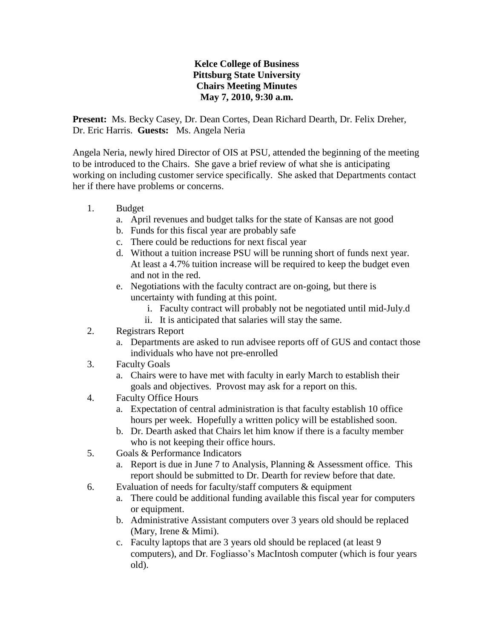## **Kelce College of Business Pittsburg State University Chairs Meeting Minutes May 7, 2010, 9:30 a.m.**

**Present:** Ms. Becky Casey, Dr. Dean Cortes, Dean Richard Dearth, Dr. Felix Dreher, Dr. Eric Harris. **Guests:** Ms. Angela Neria

Angela Neria, newly hired Director of OIS at PSU, attended the beginning of the meeting to be introduced to the Chairs. She gave a brief review of what she is anticipating working on including customer service specifically. She asked that Departments contact her if there have problems or concerns.

- 1. Budget
	- a. April revenues and budget talks for the state of Kansas are not good
	- b. Funds for this fiscal year are probably safe
	- c. There could be reductions for next fiscal year
	- d. Without a tuition increase PSU will be running short of funds next year. At least a 4.7% tuition increase will be required to keep the budget even and not in the red.
	- e. Negotiations with the faculty contract are on-going, but there is uncertainty with funding at this point.
		- i. Faculty contract will probably not be negotiated until mid-July.d
		- ii. It is anticipated that salaries will stay the same.
- 2. Registrars Report
	- a. Departments are asked to run advisee reports off of GUS and contact those individuals who have not pre-enrolled
- 3. Faculty Goals
	- a. Chairs were to have met with faculty in early March to establish their goals and objectives. Provost may ask for a report on this.
- 4. Faculty Office Hours
	- a. Expectation of central administration is that faculty establish 10 office hours per week. Hopefully a written policy will be established soon.
	- b. Dr. Dearth asked that Chairs let him know if there is a faculty member who is not keeping their office hours.
- 5. Goals & Performance Indicators
	- a. Report is due in June 7 to Analysis, Planning & Assessment office. This report should be submitted to Dr. Dearth for review before that date.
- 6. Evaluation of needs for faculty/staff computers & equipment
	- a. There could be additional funding available this fiscal year for computers or equipment.
	- b. Administrative Assistant computers over 3 years old should be replaced (Mary, Irene & Mimi).
	- c. Faculty laptops that are 3 years old should be replaced (at least 9 computers), and Dr. Fogliasso's MacIntosh computer (which is four years old).